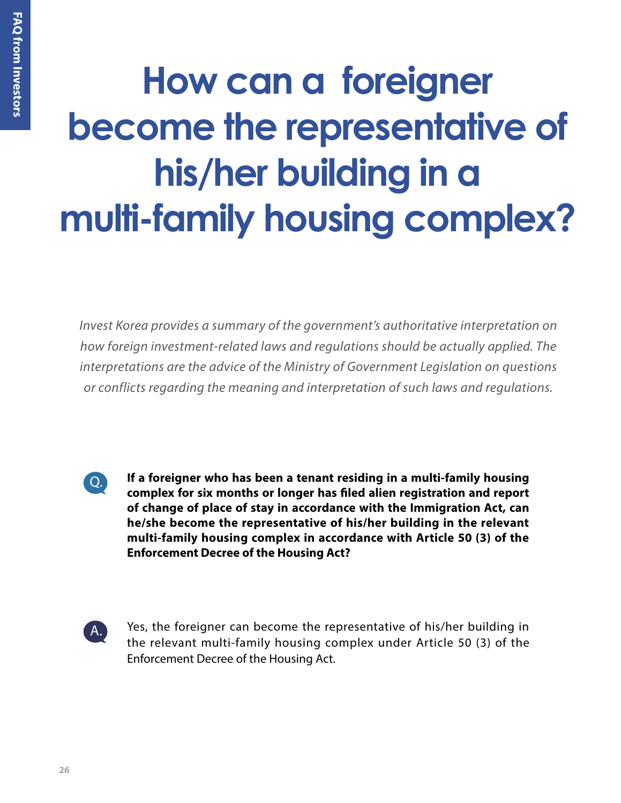## **How can a foreigner become the representative of his/her building in a multi-family housing complex?**

*Invest Korea provides a summary of the government's authoritative interpretation on how foreign investment-related laws and regulations should be actually applied. The interpretations are the advice of the Ministry of Government Legislation on questions or conflicts regarding the meaning and interpretation of such laws and regulations.*



**If a foreigner who has been a tenant residing in a multi-family housing complex for six months or longer has filed alien registration and report of change of place of stay in accordance with the Immigration Act, can he/she become the representative of his/her building in the relevant multi-family housing complex in accordance with Article 50 (3) of the Enforcement Decree of the Housing Act?**



Yes, the foreigner can become the representative of his/her building in the relevant multi-family housing complex under Article 50 (3) of the Enforcement Decree of the Housing Act.